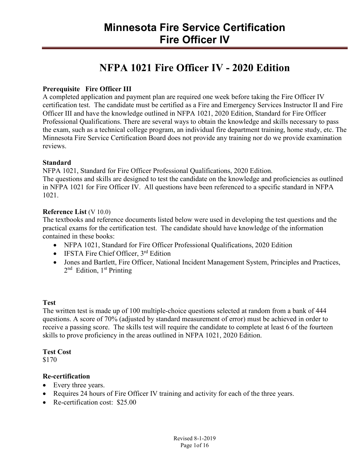## **NFPA 1021 Fire Officer IV - 2020 Edition**

#### **Prerequisite Fire Officer III**

A completed application and payment plan are required one week before taking the Fire Officer IV certification test. The candidate must be certified as a Fire and Emergency Services Instructor II and Fire Officer III and have the knowledge outlined in NFPA 1021, 2020 Edition, Standard for Fire Officer Professional Qualifications. There are several ways to obtain the knowledge and skills necessary to pass the exam, such as a technical college program, an individual fire department training, home study, etc. The Minnesota Fire Service Certification Board does not provide any training nor do we provide examination reviews.

#### **Standard**

NFPA 1021, Standard for Fire Officer Professional Qualifications, 2020 Edition.

The questions and skills are designed to test the candidate on the knowledge and proficiencies as outlined in NFPA 1021 for Fire Officer IV. All questions have been referenced to a specific standard in NFPA 1021.

#### **Reference List** (V 10.0)

The textbooks and reference documents listed below were used in developing the test questions and the practical exams for the certification test. The candidate should have knowledge of the information contained in these books:

- NFPA 1021, Standard for Fire Officer Professional Qualifications, 2020 Edition
- $\bullet$  IFSTA Fire Chief Officer,  $3^{rd}$  Edition
- Jones and Bartlett, Fire Officer, National Incident Management System, Principles and Practices, 2<sup>nd</sup> Edition, 1<sup>st</sup> Printing

#### **Test**

The written test is made up of 100 multiple-choice questions selected at random from a bank of 444 questions. A score of 70% (adjusted by standard measurement of error) must be achieved in order to receive a passing score. The skills test will require the candidate to complete at least 6 of the fourteen skills to prove proficiency in the areas outlined in NFPA 1021, 2020 Edition.

#### **Test Cost**

\$170

#### **Re-certification**

- Every three years.
- Requires 24 hours of Fire Officer IV training and activity for each of the three years.
- Re-certification cost: \$25.00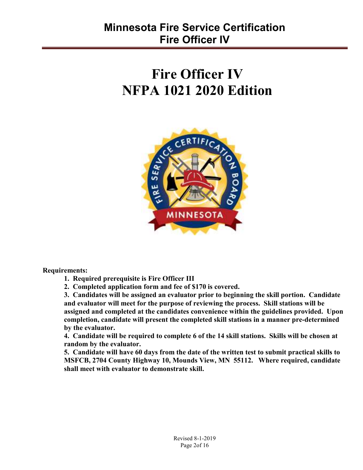# **Fire Officer IV NFPA 1021 2020 Edition**



**Requirements:** 

**1. Required prerequisite is Fire Officer III** 

**2. Completed application form and fee of \$170 is covered.** 

**3. Candidates will be assigned an evaluator prior to beginning the skill portion. Candidate and evaluator will meet for the purpose of reviewing the process. Skill stations will be assigned and completed at the candidates convenience within the guidelines provided. Upon completion, candidate will present the completed skill stations in a manner pre-determined by the evaluator.** 

**4. Candidate will be required to complete 6 of the 14 skill stations. Skills will be chosen at random by the evaluator.** 

**5. Candidate will have 60 days from the date of the written test to submit practical skills to MSFCB, 2704 County Highway 10, Mounds View, MN 55112. Where required, candidate shall meet with evaluator to demonstrate skill.**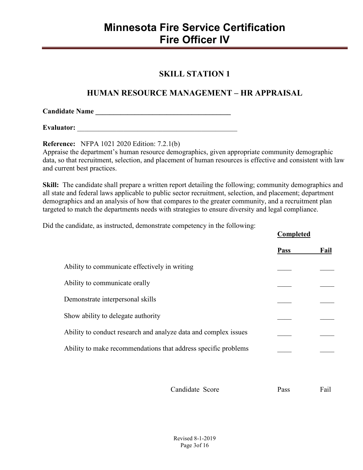#### **SKILL STATION 1**

### **HUMAN RESOURCE MANAGEMENT – HR APPRAISAL**

| <b>Candidate Name</b> |  |
|-----------------------|--|
|                       |  |

**Evaluator:** \_\_\_\_\_\_\_\_\_\_\_\_\_\_\_\_\_\_\_\_\_\_\_\_\_\_\_\_\_\_\_\_\_\_\_\_\_\_\_\_\_\_\_\_\_

**Reference:** NFPA 1021 2020 Edition: 7.2.1(b)

Appraise the department's human resource demographics, given appropriate community demographic data, so that recruitment, selection, and placement of human resources is effective and consistent with law and current best practices.

**Skill:** The candidate shall prepare a written report detailing the following; community demographics and all state and federal laws applicable to public sector recruitment, selection, and placement; department demographics and an analysis of how that compares to the greater community, and a recruitment plan targeted to match the departments needs with strategies to ensure diversity and legal compliance.

Did the candidate, as instructed, demonstrate competency in the following:

|                                                                 | <b>Completed</b> |      |
|-----------------------------------------------------------------|------------------|------|
|                                                                 | <b>Pass</b>      | Fail |
| Ability to communicate effectively in writing                   |                  |      |
| Ability to communicate orally                                   |                  |      |
| Demonstrate interpersonal skills                                |                  |      |
| Show ability to delegate authority                              |                  |      |
| Ability to conduct research and analyze data and complex issues |                  |      |
| Ability to make recommendations that address specific problems  |                  |      |
|                                                                 |                  |      |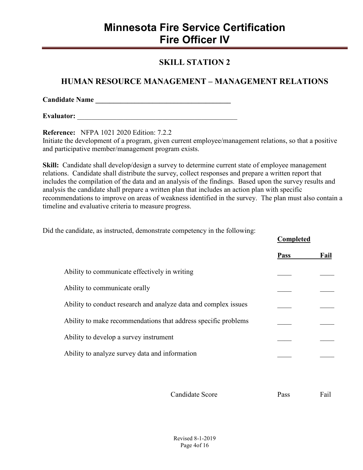#### **SKILL STATION 2**

#### **HUMAN RESOURCE MANAGEMENT – MANAGEMENT RELATIONS**

**Candidate Name \_\_\_\_\_\_\_\_\_\_\_\_\_\_\_\_\_\_\_\_\_\_\_\_\_\_\_\_\_\_\_\_\_\_\_\_\_\_** 

**Evaluator:**  $\blacksquare$ 

**Reference:** NFPA 1021 2020 Edition: 7.2.2

Initiate the development of a program, given current employee/management relations, so that a positive and participative member/management program exists.

**Skill:** Candidate shall develop/design a survey to determine current state of employee management relations. Candidate shall distribute the survey, collect responses and prepare a written report that includes the compilation of the data and an analysis of the findings. Based upon the survey results and analysis the candidate shall prepare a written plan that includes an action plan with specific recommendations to improve on areas of weakness identified in the survey. The plan must also contain a timeline and evaluative criteria to measure progress.

Did the candidate, as instructed, demonstrate competency in the following:

|                                                                 | Completed   |      |
|-----------------------------------------------------------------|-------------|------|
|                                                                 | <b>Pass</b> | Fail |
| Ability to communicate effectively in writing                   |             |      |
| Ability to communicate orally                                   |             |      |
| Ability to conduct research and analyze data and complex issues |             |      |
| Ability to make recommendations that address specific problems  |             |      |
| Ability to develop a survey instrument                          |             |      |
| Ability to analyze survey data and information                  |             |      |
|                                                                 |             |      |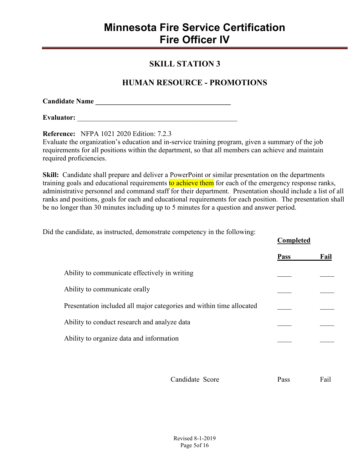#### **SKILL STATION 3**

#### **HUMAN RESOURCE - PROMOTIONS**

| <b>Candidate Name</b> |  |
|-----------------------|--|
|                       |  |

**Evaluator:**  $\blacksquare$ 

**Reference:** NFPA 1021 2020 Edition: 7.2.3

Evaluate the organization's education and in-service training program, given a summary of the job requirements for all positions within the department, so that all members can achieve and maintain required proficiencies.

**Skill:** Candidate shall prepare and deliver a PowerPoint or similar presentation on the departments training goals and educational requirements to achieve them for each of the emergency response ranks, administrative personnel and command staff for their department. Presentation should include a list of all ranks and positions, goals for each and educational requirements for each position. The presentation shall be no longer than 30 minutes including up to 5 minutes for a question and answer period.

Did the candidate, as instructed, demonstrate competency in the following:

|                                                                      | Completed   |      |
|----------------------------------------------------------------------|-------------|------|
|                                                                      | <b>Pass</b> | Fail |
| Ability to communicate effectively in writing                        |             |      |
| Ability to communicate orally                                        |             |      |
| Presentation included all major categories and within time allocated |             |      |
| Ability to conduct research and analyze data                         |             |      |
| Ability to organize data and information                             |             |      |
|                                                                      |             |      |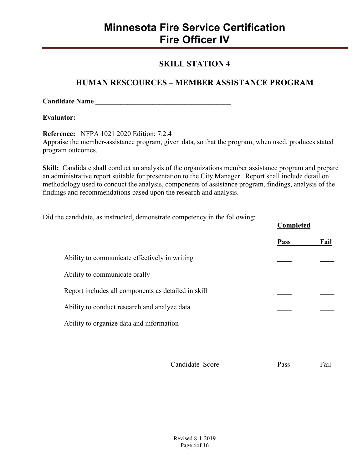#### **SKILL STATION 4**

#### **HUMAN RESCOURCES – MEMBER ASSISTANCE PROGRAM**

**Candidate Name \_\_\_\_\_\_\_\_\_\_\_\_\_\_\_\_\_\_\_\_\_\_\_\_\_\_\_\_\_\_\_\_\_\_\_\_\_\_** 

**Evaluator:** \_\_\_\_\_\_\_\_\_\_\_\_\_\_\_\_\_\_\_\_\_\_\_\_\_\_\_\_\_\_\_\_\_\_\_\_\_\_\_\_\_\_\_\_\_

**Reference:** NFPA 1021 2020 Edition: 7.2.4 Appraise the member-assistance program, given data, so that the program, when used, produces stated program outcomes.

**Skill:** Candidate shall conduct an analysis of the organizations member assistance program and prepare an administrative report suitable for presentation to the City Manager. Report shall include detail on methodology used to conduct the analysis, components of assistance program, findings, analysis of the findings and recommendations based upon the research and analysis.

Did the candidate, as instructed, demonstrate competency in the following:

|                                                     | <b>Pass</b> | Fail |
|-----------------------------------------------------|-------------|------|
| Ability to communicate effectively in writing       |             |      |
| Ability to communicate orally                       |             |      |
| Report includes all components as detailed in skill |             |      |
| Ability to conduct research and analyze data        |             |      |
| Ability to organize data and information            |             |      |
|                                                     |             |      |

Candidate Score Pass Pass Fail

**Completed**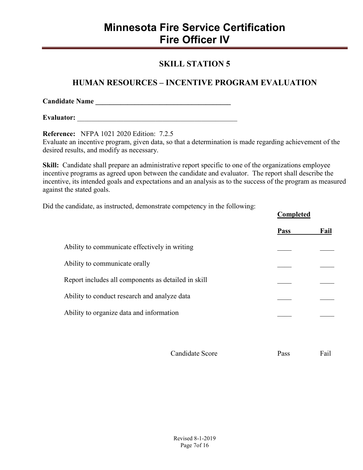#### **SKILL STATION 5**

### **HUMAN RESOURCES – INCENTIVE PROGRAM EVALUATION**

**Candidate Name \_\_\_\_\_\_\_\_\_\_\_\_\_\_\_\_\_\_\_\_\_\_\_\_\_\_\_\_\_\_\_\_\_\_\_\_\_\_** 

**Evaluator:**  $\blacksquare$ 

**Reference:** NFPA 1021 2020 Edition: 7.2.5 Evaluate an incentive program, given data, so that a determination is made regarding achievement of the desired results, and modify as necessary.

**Skill:** Candidate shall prepare an administrative report specific to one of the organizations employee incentive programs as agreed upon between the candidate and evaluator. The report shall describe the incentive, its intended goals and expectations and an analysis as to the success of the program as measured against the stated goals.

Did the candidate, as instructed, demonstrate competency in the following:

|                                                     | <b>Comprete</b> |      |
|-----------------------------------------------------|-----------------|------|
|                                                     | <b>Pass</b>     | Fail |
| Ability to communicate effectively in writing       |                 |      |
| Ability to communicate orally                       |                 |      |
| Report includes all components as detailed in skill |                 |      |
| Ability to conduct research and analyze data        |                 |      |
| Ability to organize data and information            |                 |      |
|                                                     |                 |      |
|                                                     |                 |      |

Candidate Score Pass Fail

**Completed**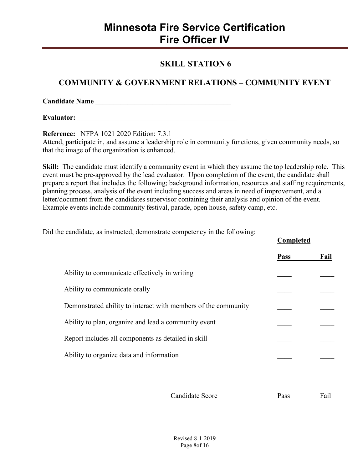#### **SKILL STATION 6**

### **COMMUNITY & GOVERNMENT RELATIONS – COMMUNITY EVENT**

**Candidate Name** \_\_\_\_\_\_\_\_\_\_\_\_\_\_\_\_\_\_\_\_\_\_\_\_\_\_\_\_\_\_\_\_\_\_\_\_\_\_

**Evaluator:**  $\blacksquare$ 

**Reference:** NFPA 1021 2020 Edition: 7.3.1

Attend, participate in, and assume a leadership role in community functions, given community needs, so that the image of the organization is enhanced.

**Skill:** The candidate must identify a community event in which they assume the top leadership role. This event must be pre-approved by the lead evaluator. Upon completion of the event, the candidate shall prepare a report that includes the following; background information, resources and staffing requirements, planning process, analysis of the event including success and areas in need of improvement, and a letter/document from the candidates supervisor containing their analysis and opinion of the event. Example events include community festival, parade, open house, safety camp, etc.

Did the candidate, as instructed, demonstrate competency in the following:

|                                                                | <b>Completed</b> |      |
|----------------------------------------------------------------|------------------|------|
|                                                                | <b>Pass</b>      | Fail |
| Ability to communicate effectively in writing                  |                  |      |
| Ability to communicate orally                                  |                  |      |
| Demonstrated ability to interact with members of the community |                  |      |
| Ability to plan, organize and lead a community event           |                  |      |
| Report includes all components as detailed in skill            |                  |      |
| Ability to organize data and information                       |                  |      |
|                                                                |                  |      |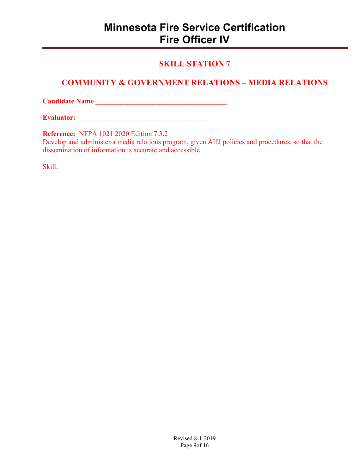### **SKILL STATION 7**

### **COMMUNITY & GOVERNMENT RELATIONS – MEDIA RELATIONS**

**Candidate Name \_\_\_\_\_\_\_\_\_\_\_\_\_\_\_\_\_\_\_\_\_\_\_\_\_\_\_\_\_\_\_\_\_\_\_\_\_** 

**Evaluator:**  $\blacksquare$ 

**Reference:** NFPA 1021 2020 Edition 7.3.2

Develop and administer a media relations program, given AHJ policies and procedures, so that the dissemination of information is accurate and accessible.

Skill: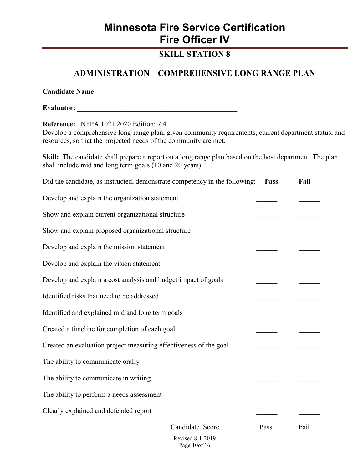### **SKILL STATION 8**

#### **ADMINISTRATION – COMPREHENSIVE LONG RANGE PLAN**

| <b>Reference:</b> NFPA 1021 2020 Edition: 7.4.1<br>Develop a comprehensive long-range plan, given community requirements, current department status, and<br>resources, so that the projected needs of the community are met. |                 |             |      |
|------------------------------------------------------------------------------------------------------------------------------------------------------------------------------------------------------------------------------|-----------------|-------------|------|
| Skill: The candidate shall prepare a report on a long range plan based on the host department. The plan<br>shall include mid and long term goals (10 and 20 years).                                                          |                 |             |      |
| Did the candidate, as instructed, demonstrate competency in the following:                                                                                                                                                   |                 | <b>Pass</b> | Fail |
| Develop and explain the organization statement                                                                                                                                                                               |                 |             |      |
| Show and explain current organizational structure                                                                                                                                                                            |                 |             |      |
| Show and explain proposed organizational structure                                                                                                                                                                           |                 |             |      |
| Develop and explain the mission statement                                                                                                                                                                                    |                 |             |      |
| Develop and explain the vision statement                                                                                                                                                                                     |                 |             |      |
| Develop and explain a cost analysis and budget impact of goals                                                                                                                                                               |                 |             |      |
| Identified risks that need to be addressed                                                                                                                                                                                   |                 |             |      |
| Identified and explained mid and long term goals                                                                                                                                                                             |                 |             |      |
| Created a timeline for completion of each goal                                                                                                                                                                               |                 |             |      |
| Created an evaluation project measuring effectiveness of the goal                                                                                                                                                            |                 |             |      |
| The ability to communicate orally                                                                                                                                                                                            |                 |             |      |
| The ability to communicate in writing                                                                                                                                                                                        |                 |             |      |
| The ability to perform a needs assessment                                                                                                                                                                                    |                 |             |      |
| Clearly explained and defended report                                                                                                                                                                                        |                 |             |      |
|                                                                                                                                                                                                                              | Candidate Score | Pass        | Fail |

Revised 8-1-2019 Page 10of 16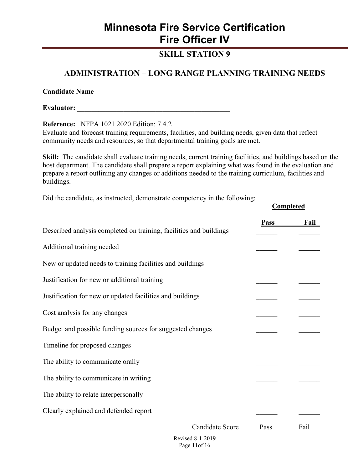#### **SKILL STATION 9**

#### **ADMINISTRATION – LONG RANGE PLANNING TRAINING NEEDS**

**Candidate Name** \_\_\_\_\_\_\_\_\_\_\_\_\_\_\_\_\_\_\_\_\_\_\_\_\_\_\_\_\_\_\_\_\_\_\_\_\_\_

**Evaluator:** \_\_\_\_\_\_\_\_\_\_\_\_\_\_\_\_\_\_\_\_\_\_\_\_\_\_\_\_\_\_\_\_\_\_\_\_\_\_\_\_\_\_\_

**Reference:** NFPA 1021 2020 Edition: 7.4.2

Evaluate and forecast training requirements, facilities, and building needs, given data that reflect community needs and resources, so that departmental training goals are met.

**Skill:** The candidate shall evaluate training needs, current training facilities, and buildings based on the host department. The candidate shall prepare a report explaining what was found in the evaluation and prepare a report outlining any changes or additions needed to the training curriculum, facilities and buildings.

**Completed** 

Did the candidate, as instructed, demonstrate competency in the following:

|                                                                    | <b>Pass</b> | Fail |
|--------------------------------------------------------------------|-------------|------|
| Described analysis completed on training, facilities and buildings |             |      |
| Additional training needed                                         |             |      |
| New or updated needs to training facilities and buildings          |             |      |
| Justification for new or additional training                       |             |      |
| Justification for new or updated facilities and buildings          |             |      |
| Cost analysis for any changes                                      |             |      |
| Budget and possible funding sources for suggested changes          |             |      |
| Timeline for proposed changes                                      |             |      |
| The ability to communicate orally                                  |             |      |
| The ability to communicate in writing                              |             |      |
| The ability to relate interpersonally                              |             |      |
| Clearly explained and defended report                              |             |      |
| Candidate Score                                                    | Pass        | Fail |

Revised 8-1-2019 Page 11of 16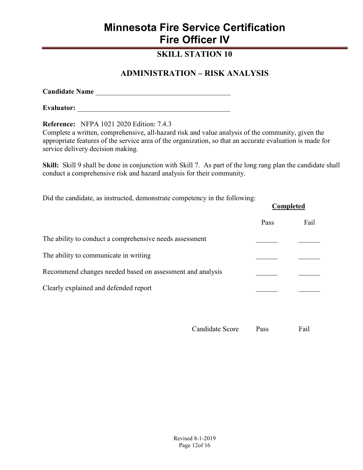#### **SKILL STATION 10**

#### **ADMINISTRATION – RISK ANALYSIS**

**Candidate Name** \_\_\_\_\_\_\_\_\_\_\_\_\_\_\_\_\_\_\_\_\_\_\_\_\_\_\_\_\_\_\_\_\_\_\_\_\_\_

**Evaluator:** \_\_\_\_\_\_\_\_\_\_\_\_\_\_\_\_\_\_\_\_\_\_\_\_\_\_\_\_\_\_\_\_\_\_\_\_\_\_\_\_\_\_\_

**Reference:** NFPA 1021 2020 Edition: 7.4.3

Complete a written, comprehensive, all-hazard risk and value analysis of the community, given the appropriate features of the service area of the organization, so that an accurate evaluation is made for service delivery decision making.

**Skill:** Skill 9 shall be done in conjunction with Skill 7. As part of the long rang plan the candidate shall conduct a comprehensive risk and hazard analysis for their community.

Did the candidate, as instructed, demonstrate competency in the following:

| Did the early and the above, definitional competency in the following. | Completed |      |
|------------------------------------------------------------------------|-----------|------|
|                                                                        | Pass      | Fail |
| The ability to conduct a comprehensive needs assessment                |           |      |
| The ability to communicate in writing                                  |           |      |
| Recommend changes needed based on assessment and analysis              |           |      |
| Clearly explained and defended report                                  |           |      |
|                                                                        |           |      |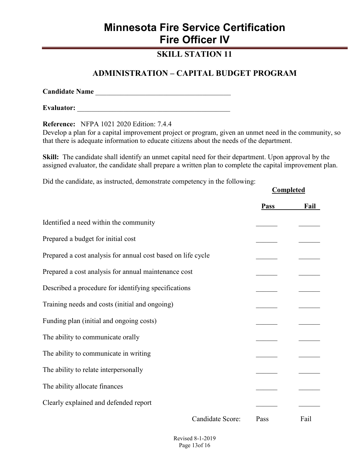### **SKILL STATION 11**

#### **ADMINISTRATION – CAPITAL BUDGET PROGRAM**

**Candidate Name** \_\_\_\_\_\_\_\_\_\_\_\_\_\_\_\_\_\_\_\_\_\_\_\_\_\_\_\_\_\_\_\_\_\_\_\_\_\_

**Evaluator:** \_\_\_\_\_\_\_\_\_\_\_\_\_\_\_\_\_\_\_\_\_\_\_\_\_\_\_\_\_\_\_\_\_\_\_\_\_\_\_\_\_\_\_

**Reference:** NFPA 1021 2020 Edition: 7.4.4

Develop a plan for a capital improvement project or program, given an unmet need in the community, so that there is adequate information to educate citizens about the needs of the department.

**Skill:** The candidate shall identify an unmet capital need for their department. Upon approval by the assigned evaluator, the candidate shall prepare a written plan to complete the capital improvement plan.

**Completed** 

Did the candidate, as instructed, demonstrate competency in the following:

|                                                              |                  |             | <u>compictum</u> |
|--------------------------------------------------------------|------------------|-------------|------------------|
|                                                              |                  | <b>Pass</b> | <b>Fail</b>      |
| Identified a need within the community                       |                  |             |                  |
| Prepared a budget for initial cost                           |                  |             |                  |
| Prepared a cost analysis for annual cost based on life cycle |                  |             |                  |
| Prepared a cost analysis for annual maintenance cost         |                  |             |                  |
| Described a procedure for identifying specifications         |                  |             |                  |
| Training needs and costs (initial and ongoing)               |                  |             |                  |
| Funding plan (initial and ongoing costs)                     |                  |             |                  |
| The ability to communicate orally                            |                  |             |                  |
| The ability to communicate in writing                        |                  |             |                  |
| The ability to relate interpersonally                        |                  |             |                  |
| The ability allocate finances                                |                  |             |                  |
| Clearly explained and defended report                        |                  |             |                  |
|                                                              | Candidate Score: | Pass        | Fail             |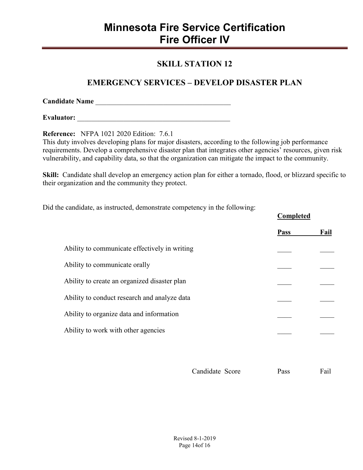#### **SKILL STATION 12**

### **EMERGENCY SERVICES – DEVELOP DISASTER PLAN**

**Candidate Name** \_\_\_\_\_\_\_\_\_\_\_\_\_\_\_\_\_\_\_\_\_\_\_\_\_\_\_\_\_\_\_\_\_\_\_\_\_\_

**Evaluator:**  $\blacksquare$ 

**Reference:** NFPA 1021 2020 Edition: 7.6.1

This duty involves developing plans for major disasters, according to the following job performance requirements. Develop a comprehensive disaster plan that integrates other agencies' resources, given risk vulnerability, and capability data, so that the organization can mitigate the impact to the community.

**Skill:** Candidate shall develop an emergency action plan for either a tornado, flood, or blizzard specific to their organization and the community they protect.

Did the candidate, as instructed, demonstrate competency in the following:

|                                               | Completed   |      |
|-----------------------------------------------|-------------|------|
|                                               | <b>Pass</b> | Fail |
| Ability to communicate effectively in writing |             |      |
| Ability to communicate orally                 |             |      |
| Ability to create an organized disaster plan  |             |      |
| Ability to conduct research and analyze data  |             |      |
| Ability to organize data and information      |             |      |
| Ability to work with other agencies           |             |      |
|                                               |             |      |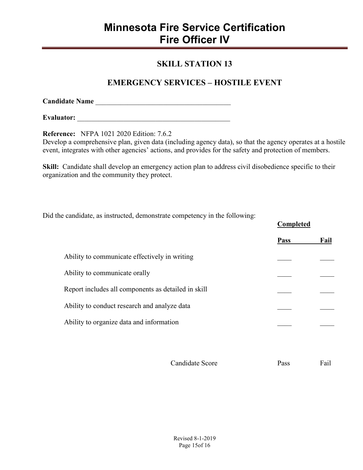#### **SKILL STATION 13**

#### **EMERGENCY SERVICES – HOSTILE EVENT**

| <b>Candidate Name</b> |  |
|-----------------------|--|
|                       |  |

**Evaluator:** \_\_\_\_\_\_\_\_\_\_\_\_\_\_\_\_\_\_\_\_\_\_\_\_\_\_\_\_\_\_\_\_\_\_\_\_\_\_\_\_\_\_\_

**Reference:** NFPA 1021 2020 Edition: 7.6.2

Develop a comprehensive plan, given data (including agency data), so that the agency operates at a hostile event, integrates with other agencies' actions, and provides for the safety and protection of members.

Skill: Candidate shall develop an emergency action plan to address civil disobedience specific to their organization and the community they protect.

Did the candidate, as instructed, demonstrate competency in the following:

| Ability to communicate effectively in writing<br>Ability to communicate orally | <b>Pass</b> | Fail |
|--------------------------------------------------------------------------------|-------------|------|
|                                                                                |             |      |
|                                                                                |             |      |
|                                                                                |             |      |
| Report includes all components as detailed in skill                            |             |      |
| Ability to conduct research and analyze data                                   |             |      |
| Ability to organize data and information                                       |             |      |